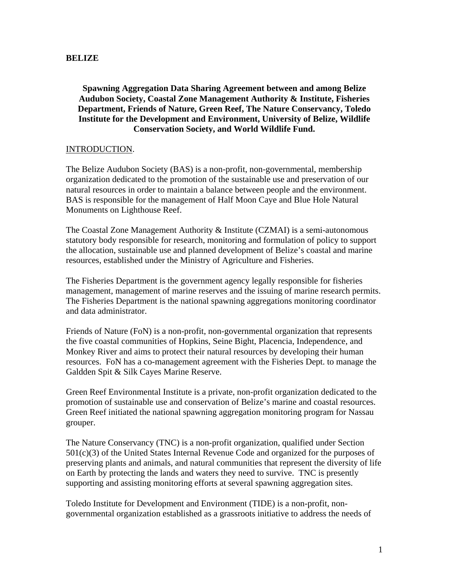## **BELIZE**

## **Spawning Aggregation Data Sharing Agreement between and among Belize Audubon Society, Coastal Zone Management Authority & Institute, Fisheries Department, Friends of Nature, Green Reef, The Nature Conservancy, Toledo Institute for the Development and Environment, University of Belize, Wildlife Conservation Society, and World Wildlife Fund.**

## INTRODUCTION.

The Belize Audubon Society (BAS) is a non-profit, non-governmental, membership organization dedicated to the promotion of the sustainable use and preservation of our natural resources in order to maintain a balance between people and the environment. BAS is responsible for the management of Half Moon Caye and Blue Hole Natural Monuments on Lighthouse Reef.

The Coastal Zone Management Authority & Institute (CZMAI) is a semi-autonomous statutory body responsible for research, monitoring and formulation of policy to support the allocation, sustainable use and planned development of Belize's coastal and marine resources, established under the Ministry of Agriculture and Fisheries.

The Fisheries Department is the government agency legally responsible for fisheries management, management of marine reserves and the issuing of marine research permits. The Fisheries Department is the national spawning aggregations monitoring coordinator and data administrator.

Friends of Nature (FoN) is a non-profit, non-governmental organization that represents the five coastal communities of Hopkins, Seine Bight, Placencia, Independence, and Monkey River and aims to protect their natural resources by developing their human resources. FoN has a co-management agreement with the Fisheries Dept. to manage the Galdden Spit & Silk Cayes Marine Reserve.

Green Reef Environmental Institute is a private, non-profit organization dedicated to the promotion of sustainable use and conservation of Belize's marine and coastal resources. Green Reef initiated the national spawning aggregation monitoring program for Nassau grouper.

The Nature Conservancy (TNC) is a non-profit organization, qualified under Section 501(c)(3) of the United States Internal Revenue Code and organized for the purposes of preserving plants and animals, and natural communities that represent the diversity of life on Earth by protecting the lands and waters they need to survive. TNC is presently supporting and assisting monitoring efforts at several spawning aggregation sites.

Toledo Institute for Development and Environment (TIDE) is a non-profit, nongovernmental organization established as a grassroots initiative to address the needs of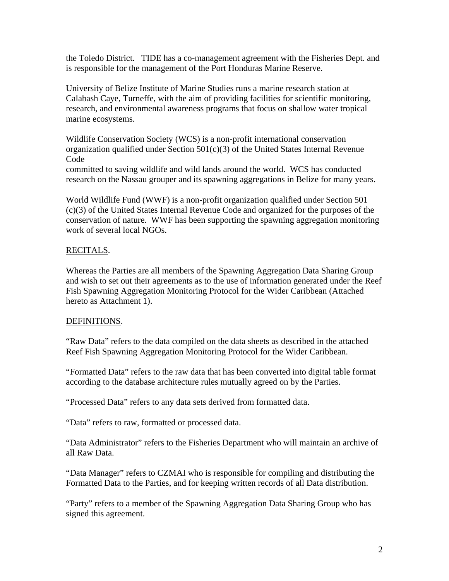the Toledo District. TIDE has a co-management agreement with the Fisheries Dept. and is responsible for the management of the Port Honduras Marine Reserve.

University of Belize Institute of Marine Studies runs a marine research station at Calabash Caye, Turneffe, with the aim of providing facilities for scientific monitoring, research, and environmental awareness programs that focus on shallow water tropical marine ecosystems.

Wildlife Conservation Society (WCS) is a non-profit international conservation organization qualified under Section  $501(c)(3)$  of the United States Internal Revenue Code

committed to saving wildlife and wild lands around the world. WCS has conducted research on the Nassau grouper and its spawning aggregations in Belize for many years.

World Wildlife Fund (WWF) is a non-profit organization qualified under Section 501 (c)(3) of the United States Internal Revenue Code and organized for the purposes of the conservation of nature. WWF has been supporting the spawning aggregation monitoring work of several local NGOs.

# RECITALS.

Whereas the Parties are all members of the Spawning Aggregation Data Sharing Group and wish to set out their agreements as to the use of information generated under the Reef Fish Spawning Aggregation Monitoring Protocol for the Wider Caribbean (Attached hereto as Attachment 1).

# DEFINITIONS.

"Raw Data" refers to the data compiled on the data sheets as described in the attached Reef Fish Spawning Aggregation Monitoring Protocol for the Wider Caribbean.

"Formatted Data" refers to the raw data that has been converted into digital table format according to the database architecture rules mutually agreed on by the Parties.

"Processed Data" refers to any data sets derived from formatted data.

"Data" refers to raw, formatted or processed data.

"Data Administrator" refers to the Fisheries Department who will maintain an archive of all Raw Data.

"Data Manager" refers to CZMAI who is responsible for compiling and distributing the Formatted Data to the Parties, and for keeping written records of all Data distribution.

"Party" refers to a member of the Spawning Aggregation Data Sharing Group who has signed this agreement.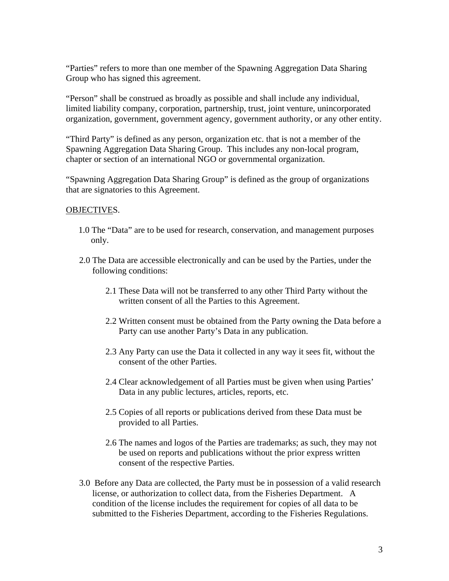"Parties" refers to more than one member of the Spawning Aggregation Data Sharing Group who has signed this agreement.

"Person" shall be construed as broadly as possible and shall include any individual, limited liability company, corporation, partnership, trust, joint venture, unincorporated organization, government, government agency, government authority, or any other entity.

"Third Party" is defined as any person, organization etc. that is not a member of the Spawning Aggregation Data Sharing Group. This includes any non-local program, chapter or section of an international NGO or governmental organization.

"Spawning Aggregation Data Sharing Group" is defined as the group of organizations that are signatories to this Agreement.

## OBJECTIVES.

- 1.0 The "Data" are to be used for research, conservation, and management purposes only.
- 2.0 The Data are accessible electronically and can be used by the Parties, under the following conditions:
	- 2.1 These Data will not be transferred to any other Third Party without the written consent of all the Parties to this Agreement.
	- 2.2 Written consent must be obtained from the Party owning the Data before a Party can use another Party's Data in any publication.
	- 2.3 Any Party can use the Data it collected in any way it sees fit, without the consent of the other Parties.
	- 2.4 Clear acknowledgement of all Parties must be given when using Parties' Data in any public lectures, articles, reports, etc.
	- 2.5 Copies of all reports or publications derived from these Data must be provided to all Parties.
	- 2.6 The names and logos of the Parties are trademarks; as such, they may not be used on reports and publications without the prior express written consent of the respective Parties.
- 3.0 Before any Data are collected, the Party must be in possession of a valid research license, or authorization to collect data, from the Fisheries Department. A condition of the license includes the requirement for copies of all data to be submitted to the Fisheries Department, according to the Fisheries Regulations.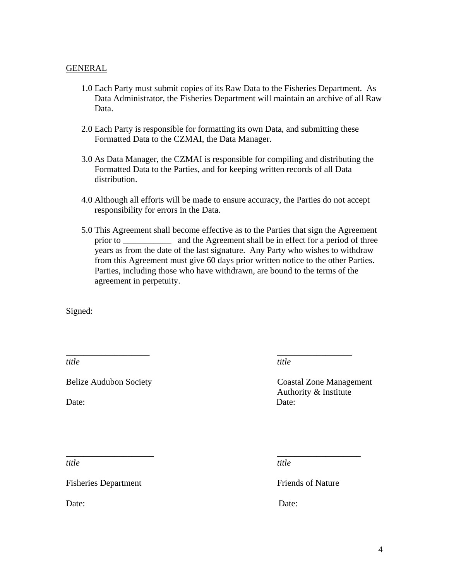#### GENERAL

- 1.0 Each Party must submit copies of its Raw Data to the Fisheries Department. As Data Administrator, the Fisheries Department will maintain an archive of all Raw Data.
- 2.0 Each Party is responsible for formatting its own Data, and submitting these Formatted Data to the CZMAI, the Data Manager.
- 3.0 As Data Manager, the CZMAI is responsible for compiling and distributing the Formatted Data to the Parties, and for keeping written records of all Data distribution.
- 4.0 Although all efforts will be made to ensure accuracy, the Parties do not accept responsibility for errors in the Data.
- 5.0 This Agreement shall become effective as to the Parties that sign the Agreement prior to \_\_\_\_\_\_\_\_\_\_\_\_\_ and the Agreement shall be in effect for a period of three years as from the date of the last signature. Any Party who wishes to withdraw from this Agreement must give 60 days prior written notice to the other Parties. Parties, including those who have withdrawn, are bound to the terms of the agreement in perpetuity.

\_\_\_\_\_\_\_\_\_\_\_\_\_\_\_\_\_\_\_ \_\_\_\_\_\_\_\_\_\_\_\_\_\_\_\_\_

\_\_\_\_\_\_\_\_\_\_\_\_\_\_\_\_\_\_\_\_ \_\_\_\_\_\_\_\_\_\_\_\_\_\_\_\_\_\_\_

Signed:

*title* title title

Belize Audubon Society Coastal Zone Management Authority & Institute Date: Date:

Fisheries Department Friends of Nature

*title* title title

Date: Date: